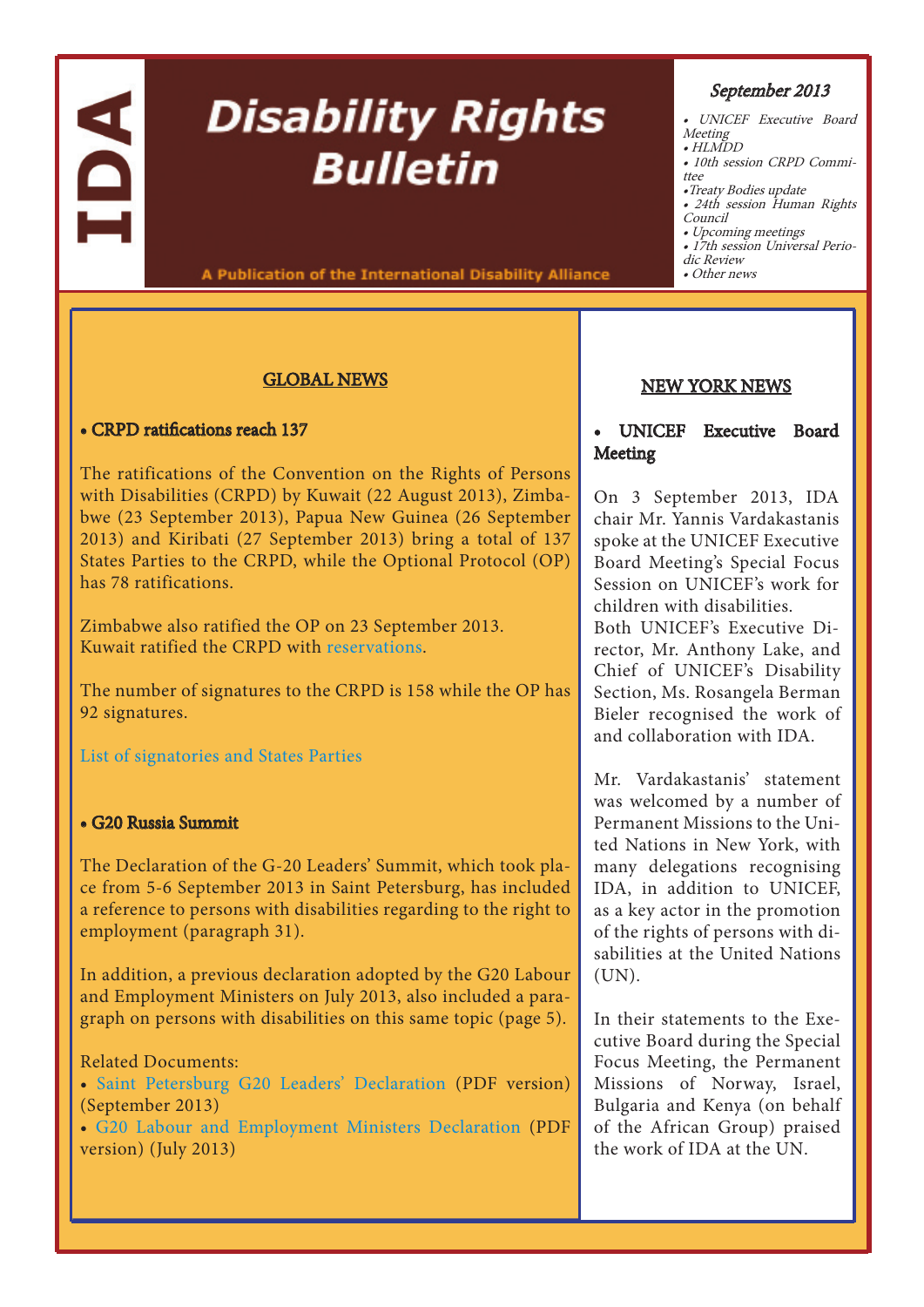# A

# **Disability Rights Bulletin**

A Publication of the International Disability Alliance

# GLOBAL NEWS

# • CRPD ratifications reach 137

The ratifications of the Convention on the Rights of Persons with Disabilities (CRPD) by Kuwait (22 August 2013), Zimbabwe (23 September 2013), Papua New Guinea (26 September 2013) and Kiribati (27 September 2013) bring a total of 137 States Parties to the CRPD, while the Optional Protocol (OP) has 78 ratifications.

Zimbabwe also ratified the OP on 23 September 2013. Kuwait ratified the CRPD with [reservations](http://treaties.un.org/Pages/ViewDetails.aspx?src=TREATY&mtdsg_no=IV-15&chapter=4&lang=en#EndDec).

The number of signatures to the CRPD is 158 while the OP has 92 signatures.

[List of signatories and States Parties](http://treaties.un.org/Pages/ViewDetails.aspx?src=TREATY&mtdsg_no=IV-15&chapter=4&lang=en)

# • G20 Russia Summit

The Declaration of the G-20 Leaders' Summit, which took place from 5-6 September 2013 in Saint Petersburg, has included a reference to persons with disabilities regarding to the right to employment (paragraph 31).

In addition, a previous declaration adopted by the G20 Labour and Employment Ministers on July 2013, also included a paragraph on persons with disabilities on this same topic (page 5).

# Related Documents:

• [Saint Petersburg G20 Leaders' Declaration](http://www.internationaldisabilityalliance.org/sites/disalliance.e-presentaciones.net/files/public/files/G20 Saint_Petersburg_Declaration_ENG.pdf) (PDF version) (September 2013)

• [G20 Labour and Employment Ministers Declaration](http://www.internationaldisabilityalliance.org/sites/disalliance.e-presentaciones.net/files/public/files/G20 Labour and Employment Ministers Declaration.pdf) (PDF [v](http://www.internationaldisabilityalliance.org/en/article/ida-press-release-ida-board-meeting-13-15-july-2013)ersion) (July 2013)

# September 2013

- UNICEF Executive Board
- Meeting HLMDD
- 10th session CRPD Committee
- •Treaty Bodies update
- 24th session Human Rights
- Council
- Upcoming meetings

• 17th session Universal Perio dic Review

• Other news

# [NEW YORK NEWS](http://www.internationaldisabilityalliance.org/en/conference-of-states-parties)

# • UNICEF Executive Board Meeting

On 3 September 2013, IDA chair Mr. Yannis Vardakastanis spoke at the UNICEF Executive Board Meeting's Special Focus Session on UNICEF's work for children with disabilities. Both UNICEF's Executive Director, Mr. Anthony Lake, and Chief of UNICEF's Disability Section, Ms. Rosangela Berman Bieler recognised the work of and collaboration with IDA.

Mr. Vardakastanis' statement was welcomed by a number of Permanent Missions to the United Nations in New York, with many delegations recognising IDA, in addition to UNICEF, as a key actor in the promotion of the rights of persons with disabilities at the United Nations (UN).

In their statements to the Executive Board during the Special Focus Meeting, the Permanent Missions of Norway, Israel, Bulgaria and Kenya (on behalf of the African Group) praised the work of IDA at the UN.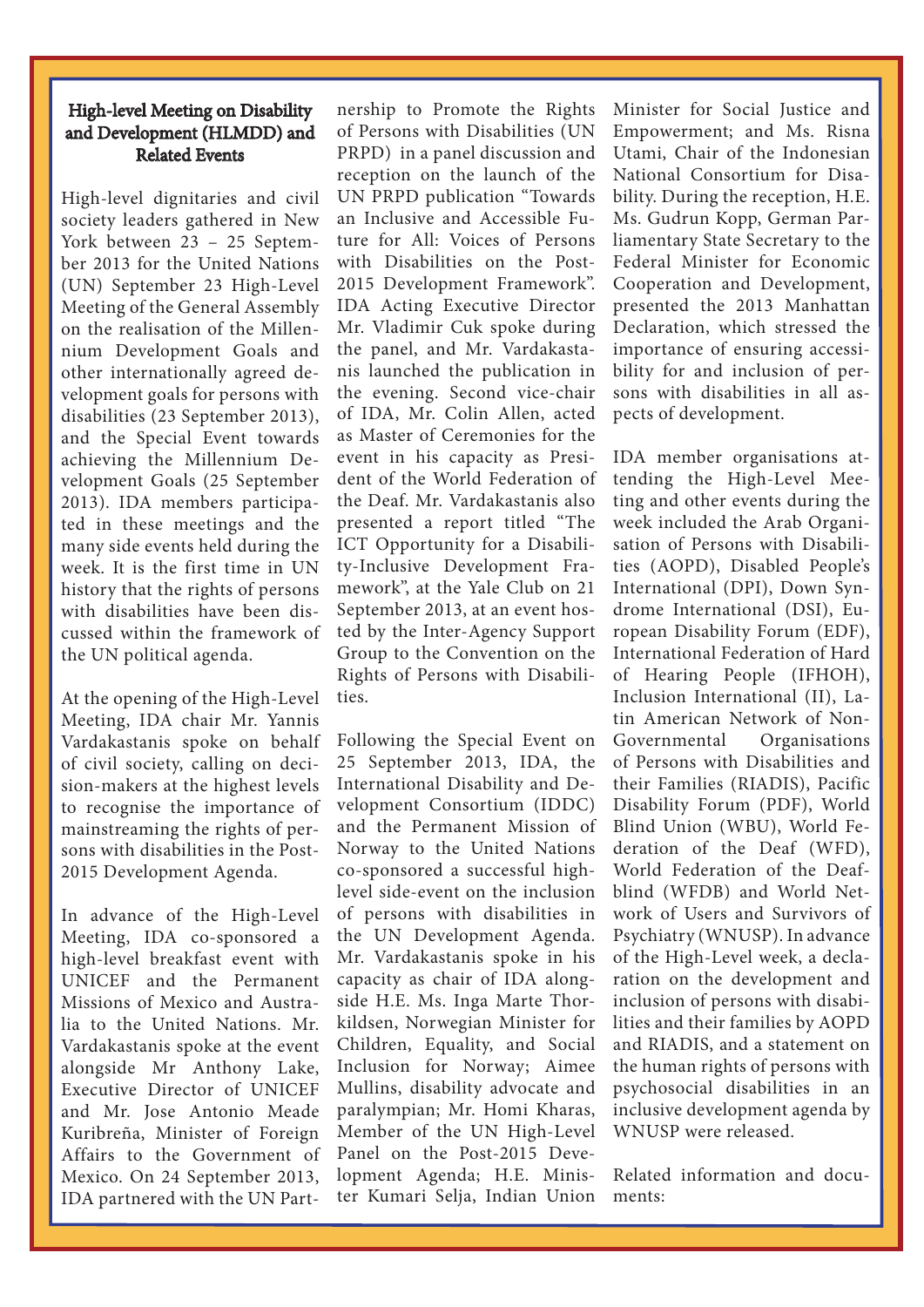# High-level Meeting on Disability and Development (HLMDD) and Related Events

High-level dignitaries and civil society leaders gathered in New York between 23 – 25 September 2013 for the United Nations (UN) September 23 High-Level Meeting of the General Assembly on the realisation of the Millennium Development Goals and other internationally agreed development goals for persons with disabilities (23 September 2013), and the Special Event towards achieving the Millennium Development Goals (25 September 2013). IDA members participated in these meetings and the many side events held during the week. It is the first time in UN history that the rights of persons with disabilities have been discussed within the framework of the UN political agenda.

At the opening of the High-Level Meeting, IDA chair Mr. Yannis Vardakastanis spoke on behalf of civil society, calling on decision-makers at the highest levels to recognise the importance of mainstreaming the rights of persons with disabilities in the Post-2015 Development Agenda.

In advance of the High-Level Meeting, IDA co-sponsored a high-level breakfast event with UNICEF and the Permanent Missions of Mexico and Australia to the United Nations. Mr. Vardakastanis spoke at the event alongside Mr Anthony Lake, Executive Director of UNICEF and Mr. Jose Antonio Meade Kuribreña, Minister of Foreign Affairs to the Government of Mexico. On 24 September 2013, IDA partnered with the UN Partnership to Promote the Rights of Persons with Disabilities (UN PRPD) in a panel discussion and reception on the launch of the UN PRPD publication "Towards an Inclusive and Accessible Future for All: Voices of Persons with Disabilities on the Post-2015 Development Framework". IDA Acting Executive Director Mr. Vladimir Cuk spoke during the panel, and Mr. Vardakastanis launched the publication in the evening. Second vice-chair of IDA, Mr. Colin Allen, acted as Master of Ceremonies for the event in his capacity as President of the World Federation of the Deaf. Mr. Vardakastanis also presented a report titled "The ICT Opportunity for a Disability-Inclusive Development Framework", at the Yale Club on 21 September 2013, at an event hosted by the Inter-Agency Support Group to the Convention on the Rights of Persons with Disabilities.

Following the Special Event on 25 September 2013, IDA, the International Disability and Development Consortium (IDDC) and the Permanent Mission of Norway to the United Nations co-sponsored a successful highlevel side-event on the inclusion of persons with disabilities in the UN Development Agenda. Mr. Vardakastanis spoke in his capacity as chair of IDA alongside H.E. Ms. Inga Marte Thorkildsen, Norwegian Minister for Children, Equality, and Social Inclusion for Norway; Aimee Mullins, disability advocate and paralympian; Mr. Homi Kharas, Member of the UN High-Level Panel on the Post-2015 Development Agenda; H.E. Minister Kumari Selja, Indian Union

Minister for Social Justice and Empowerment; and Ms. Risna Utami, Chair of the Indonesian National Consortium for Disability. During the reception, H.E. Ms. Gudrun Kopp, German Parliamentary State Secretary to the Federal Minister for Economic Cooperation and Development, presented the 2013 Manhattan Declaration, which stressed the importance of ensuring accessibility for and inclusion of persons with disabilities in all aspects of development.

IDA member organisations attending the High-Level Meeting and other events during the week included the Arab Organisation of Persons with Disabilities (AOPD), Disabled People's International (DPI), Down Syndrome International (DSI), European Disability Forum (EDF), International Federation of Hard of Hearing People (IFHOH), Inclusion International (II), Latin American Network of Non-Governmental Organisations of Persons with Disabilities and their Families (RIADIS), Pacific Disability Forum (PDF), World Blind Union (WBU), World Federation of the Deaf (WFD), World Federation of the Deafblind (WFDB) and World Network of Users and Survivors of Psychiatry (WNUSP). In advance of the High-Level week, a declaration on the development and inclusion of persons with disabilities and their families by AOPD and RIADIS, and a statement on the human rights of persons with psychosocial disabilities in an inclusive development agenda by WNUSP were released.

Related information and documents: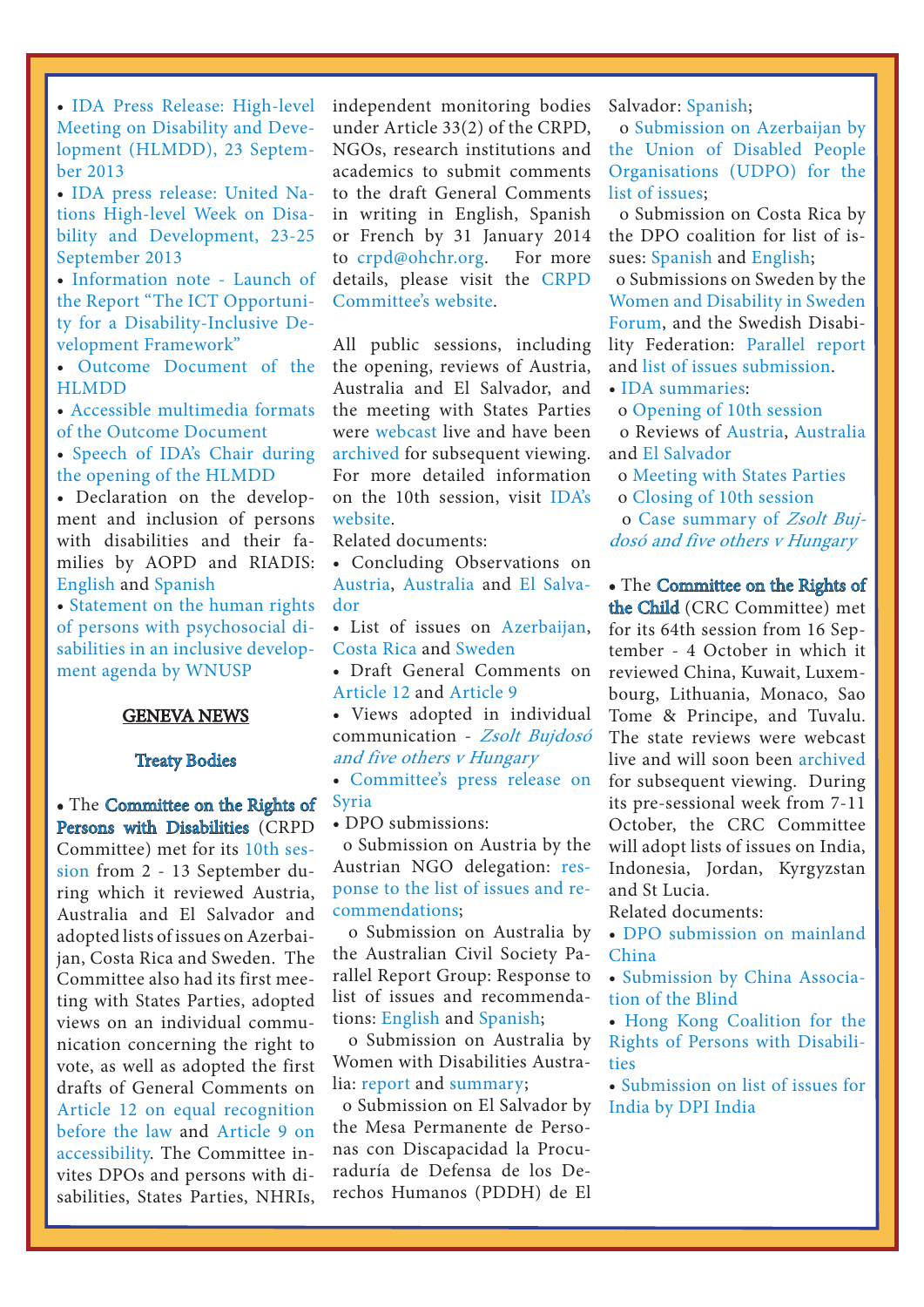• [IDA Press Release: High-level](http://www.internationaldisabilityalliance.org/en/article/ida-press-release-high-level-meeting-disability-and-development-hlmdd-23-september-2013)  [Meeting on Disability and Deve](http://www.internationaldisabilityalliance.org/en/article/ida-press-release-high-level-meeting-disability-and-development-hlmdd-23-september-2013)[lopment \(HLMDD\), 23 Septem](http://www.internationaldisabilityalliance.org/en/article/ida-press-release-high-level-meeting-disability-and-development-hlmdd-23-september-2013)[ber 2013](http://www.internationaldisabilityalliance.org/en/article/ida-press-release-high-level-meeting-disability-and-development-hlmdd-23-september-2013)

• [IDA press release: United Na](http://www.internationaldisabilityalliance.org/en/article/ida-press-release-united-nations-high-level-week-disability-and-development)[tions High-level Week on Disa](http://www.internationaldisabilityalliance.org/en/article/ida-press-release-united-nations-high-level-week-disability-and-development)[bility and Development, 23-25](http://www.internationaldisabilityalliance.org/en/article/ida-press-release-united-nations-high-level-week-disability-and-development)  [September 2013](http://www.internationaldisabilityalliance.org/en/article/ida-press-release-united-nations-high-level-week-disability-and-development)

• [Information note - Launch of](http://www.internationaldisabilityalliance.org/en/article/information-note-launch-report-%E2%80%9C-ict-opportunity-disability-inclusive-development-framework%E2%80%9D)  [the Report "The ICT Opportuni](http://www.internationaldisabilityalliance.org/en/article/information-note-launch-report-%E2%80%9C-ict-opportunity-disability-inclusive-development-framework%E2%80%9D)[ty for a Disability-Inclusive De](http://www.internationaldisabilityalliance.org/en/article/information-note-launch-report-%E2%80%9C-ict-opportunity-disability-inclusive-development-framework%E2%80%9D)[velopment Framework"](http://www.internationaldisabilityalliance.org/en/article/information-note-launch-report-%E2%80%9C-ict-opportunity-disability-inclusive-development-framework%E2%80%9D)

• [Outcome Document of the](http://www.un.org/disabilities/documents/hlmdd/a_68_l.1.doc)  [HLMDD](http://www.un.org/disabilities/documents/hlmdd/a_68_l.1.doc) 

• [Accessible multimedia formats](http://www.un.org/disabilities/documents/hlmdd/daisy/readme.html)  [of the Outcome Document](http://www.un.org/disabilities/documents/hlmdd/daisy/readme.html)

• [Speech of IDA's Chair during](http://bit.ly/1eDz3er)  [the opening of the HLMDD](http://bit.ly/1eDz3er)

• Declaration on the development and inclusion of persons with disabilities and their families by AOPD and RIADIS: [English](http://www.internationaldisabilityalliance.org/sites/disalliance.e-presentaciones.net/files/public/files/GUATEMALA DECLARATION  final.doc) and [Spanish](http://www.internationaldisabilityalliance.org/sites/disalliance.e-presentaciones.net/files/public/files/DECLARACION_DE_GUATEMALA_ES_final.doc)

• [Statement on the human rights](http://www.internationaldisabilityalliance.org/sites/disalliance.e-presentaciones.net/files/public/files/FINAL_WNUSP_Response_HLMDD_Outcome_Document.docx)  [of persons with psychosocial di](http://www.internationaldisabilityalliance.org/sites/disalliance.e-presentaciones.net/files/public/files/FINAL_WNUSP_Response_HLMDD_Outcome_Document.docx)[sabilities in an inclusive develop](http://www.internationaldisabilityalliance.org/sites/disalliance.e-presentaciones.net/files/public/files/FINAL_WNUSP_Response_HLMDD_Outcome_Document.docx)[ment agenda by WNUSP](http://www.internationaldisabilityalliance.org/sites/disalliance.e-presentaciones.net/files/public/files/FINAL_WNUSP_Response_HLMDD_Outcome_Document.docx)

#### GENEVA NEWS

# [Treaty Bodies](http://www.internationaldisabilityalliance.org/en/un-treaty-bodies)

• The [Committee on the Rights of](http://www.internationaldisabilityalliance.org/en/crpd-committee)  [Persons with Disabilities \(](http://www.internationaldisabilityalliance.org/en/crpd-committee)CRPD Committee) met for its [10th ses](http://tbinternet.ohchr.org/_layouts/treatybodyexternal/SessionDetails1.aspx?SessionID=883&Lang=en)[sion](http://tbinternet.ohchr.org/_layouts/treatybodyexternal/SessionDetails1.aspx?SessionID=883&Lang=en) from 2 - 13 September during which it reviewed Austria, Australia and El Salvador and adopted lists of issues on Azerbaijan, Costa Rica and Sweden. The Committee also had its first meeting with States Parties, adopted views on an individual communication concerning the right to vote, as well as adopted the first drafts of General Comments on [Article 12 on equal recognition](http://www.ohchr.org/Documents/HRBodies/CRPD/GC/DGCArticle12.doc)  [before the law](http://www.ohchr.org/Documents/HRBodies/CRPD/GC/DGCArticle12.doc) and [Article 9 on](http://www.ohchr.org/Documents/HRBodies/CRPD/GC/DGCArticle9.doc)  [accessibility](http://www.ohchr.org/Documents/HRBodies/CRPD/GC/DGCArticle9.doc). The Committee invites DPOs and persons with disabilities, States Parties, NHRIs,

L

independent monitoring bodies under Article 33(2) of the CRPD, NGOs, research institutions and academics to submit comments to the draft General Comments in writing in English, Spanish or French by 31 January 2014 to [crpd@ohchr.org](mailto:mailto:crpd%40ohchr.org?subject=). For more details, please visit the [CRPD](http://www.ohchr.org/EN/HRBodies/CRPD/Pages/DGCArticles12And9.aspx)  [Committee's website.](http://www.ohchr.org/EN/HRBodies/CRPD/Pages/DGCArticles12And9.aspx)

All public sessions, including the opening, reviews of Austria, Australia and El Salvador, and the meeting with States Parties were [webcast](http://www.treatybodywebcast.org/) live and have been [archived](http://www.treatybodywebcast.org/category/webcast-archives/crpd/) for subsequent viewing. For more detailed information on the 10th session, visit [IDA's](http://www.internationaldisabilityalliance.org/en/crpdsession)  [website.](http://www.internationaldisabilityalliance.org/en/crpdsession)

Related documents:

- Concluding Observations on [Austria,](http://www.ohchr.org/Documents/HRBodies/CRPD/10thSession/CRPD-C-AUT-CO-1_en.doc) [Australia](http://tbinternet.ohchr.org/Treaties/CRPD/Shared%20Documents/AUS/CRPD_C_AUS_CO_1_15350_E.doc) and [El Salva](http://www.ohchr.org/Documents/HRBodies/CRPD/10thSession/CRPD-C-SLV-CO-1_sp.doc)[dor](http://www.ohchr.org/Documents/HRBodies/CRPD/10thSession/CRPD-C-SLV-CO-1_sp.doc)
- List of issues on [Azerbaijan](http://www.ohchr.org/Documents/HRBodies/CRPD/10thSession/CRPD.C.AZE.Q.1-ENG_AUV.doc), [Costa Rica](http://www.ohchr.org/Documents/HRBodies/CRPD/10thSession/CRPD.C.CRI.Q.1-SPA_AUV.doc) and [Sweden](http://www.ohchr.org/Documents/HRBodies/CRPD/10thSession/CRPD.C.SWE.Q.1-ENG_AUV.doc)
- Draft General Comments on [Article 12](http://www.ohchr.org/Documents/HRBodies/CRPD/GC/DGCArticle12.doc) and [Article 9](http://www.ohchr.org/Documents/HRBodies/CRPD/GC/DGCArticle9.doc)
- Views adopted in individual communication - Zsolt Bujdosó [and five others v Hungary](http://www.ohchr.org/Documents/HRBodies/CRPD/Jurisprudence/CRPD-C-10-D-4-2011_en.doc)
- [Committee's press release on](http://www.ohchr.org/EN/NewsEvents/Pages/DisplayNews.aspx?NewsID=13736&LangID=E)  [Syria](http://www.ohchr.org/EN/NewsEvents/Pages/DisplayNews.aspx?NewsID=13736&LangID=E)

• DPO submissions:

 o Submission on Austria by the Austrian NGO delegation: [res](http://www.internationaldisabilityalliance.org/sites/disalliance.e-presentaciones.net/files/public/files/DPOs_Austria_recommendations_finalised.docx)[ponse to the list of issues and re](http://www.internationaldisabilityalliance.org/sites/disalliance.e-presentaciones.net/files/public/files/DPOs_Austria_recommendations_finalised.docx)[commendations;](http://www.internationaldisabilityalliance.org/sites/disalliance.e-presentaciones.net/files/public/files/DPOs_Austria_recommendations_finalised.docx)

 o Submission on Australia by the Australian Civil Society Parallel Report Group: Response to list of issues and recommendations: [English](http://www.internationaldisabilityalliance.org/sites/disalliance.e-presentaciones.net/files/public/files/NGO_Australia_LOI Response_Consolidated version_FINAL.doc) and [Spanish](http://www.internationaldisabilityalliance.org/sites/disalliance.e-presentaciones.net/files/public/files/NGO_Australia_LOI Response_Consolidated version_FINAL SPANISH.doc);

 o Submission on Australia by Women with Disabilities Australia: [report](http://www.internationaldisabilityalliance.org/sites/disalliance.e-presentaciones.net/files/public/files/WWDA_Australia_Report.doc) and [summary;](http://www.internationaldisabilityalliance.org/sites/disalliance.e-presentaciones.net/files/public/files/WWDA_Australia_SummAndRecommendations.doc)

 o Submission on El Salvador by [India by DPI India](http://www.internationaldisabilityalliance.org/sites/disalliance.e-presentaciones.net/files/public/files/Alternative Report to the CRC Committee on the Rights of CWDs.doc)the Mesa Permanente de Personas con Discapacidad la Procuraduría de Defensa de los Derechos Humanos (PDDH) de El

Salvador: [Spanish](http://www.internationaldisabilityalliance.org/sites/disalliance.e-presentaciones.net/files/public/files/Submission.El Salvador.Mesa Permanente de Personas con Discapacidad la PDDH de El Salvador.10th session.doc);

 o [Submission on Azerbaijan by](http://www.internationaldisabilityalliance.org/sites/disalliance.e-presentaciones.net/files/public/files/Azerbaijan DPO submission.list of issues.doc)  [the Union of Disabled People](http://www.internationaldisabilityalliance.org/sites/disalliance.e-presentaciones.net/files/public/files/Azerbaijan DPO submission.list of issues.doc)  [Organisations \(UDPO\) for the](http://www.internationaldisabilityalliance.org/sites/disalliance.e-presentaciones.net/files/public/files/Azerbaijan DPO submission.list of issues.doc)  [list of issues](http://www.internationaldisabilityalliance.org/sites/disalliance.e-presentaciones.net/files/public/files/Azerbaijan DPO submission.list of issues.doc);

 o Submission on Costa Rica by the DPO coalition for list of issues: [Spanish](http://www.internationaldisabilityalliance.org/sites/disalliance.e-presentaciones.net/files/public/files/-1a%29 INFORME SOMBRA-OPCD-COSTA RICA y lista de pregunta_0.docx) and [English](http://www.internationaldisabilityalliance.org/sites/disalliance.e-presentaciones.net/files/public/files/Eng.Costa Rica List of issues submission complete with proposed questions.final.docx);

 o Submissions on Sweden by the [Women and Disability in Sweden](http://www.ohchr.org/Documents/HRBodies/CRPD/Future/Forum_womenDisabilities_Sweden_CRPDFuture.doc)  [Forum,](http://www.ohchr.org/Documents/HRBodies/CRPD/Future/Forum_womenDisabilities_Sweden_CRPDFuture.doc) and the Swedish Disability Federation: [Parallel report](http://www.ohchr.org/Documents/HRBodies/CRPD/Future/SwedishDisabilityMovement_Sweden.doc)  and [list of issues submission](http://www.ohchr.org/Documents/HRBodies/CRPD/10thSession/SDF_Sweden_CRPD10.docx).

• [IDA summaries](http://www.internationaldisabilityalliance.org/en/crpdsession):

o [Opening of 10th session](http://www.internationaldisabilityalliance.org/sites/disalliance.e-presentaciones.net/files/public/files/10th session notes.opening.doc)

 o Reviews of [Austria](http://www.internationaldisabilityalliance.org/sites/disalliance.e-presentaciones.net/files/public/files/dialogue with austria.notes.doc), [Australia](http://www.internationaldisabilityalliance.org/sites/disalliance.e-presentaciones.net/files/public/files/dialogue with australia.notes.doc)  and [El Salvador](http://www.internationaldisabilityalliance.org/sites/disalliance.e-presentaciones.net/files/public/files/Dialogue with El Salvador.notes.doc)

o [Meeting with States Parties](http://www.internationaldisabilityalliance.org/sites/disalliance.e-presentaciones.net/files/public/files/meeting with states parties.notes.doc)

o [Closing of 10th session](http://www.internationaldisabilityalliance.org/sites/disalliance.e-presentaciones.net/files/public/files/10th session notes.closing.doc)

 o [Case summary of](http://www.internationaldisabilityalliance.org/en/crpd-committee-views-communications) Zsolt Buj[dosó and five others v Hungary](http://www.internationaldisabilityalliance.org/en/crpd-committee-views-communications)

• The [Committee on the Rights of](http://www.internationaldisabilityalliance.org/en/committee-on-the-rights-of-the-child)  [the Child](http://www.internationaldisabilityalliance.org/en/committee-on-the-rights-of-the-child) (CRC Committee) met for its 64th session from 16 September - 4 October in which it reviewed China, Kuwait, Luxembourg, Lithuania, Monaco, Sao Tome & Principe, and Tuvalu. The state reviews were webcast live and will soon been [archived](http://www.treatybodywebcast.org/category/webcast-archives/crc/)  for subsequent viewing. During its pre-sessional week from 7-11 October, the CRC Committee will adopt lists of issues on India, Indonesia, Jordan, Kyrgyzstan and St Lucia.

Related documents:

• [DPO submission on mainland](http://www.internationaldisabilityalliance.org/sites/disalliance.e-presentaciones.net/files/public/files/ChineseDisabledPersonsOrganisations_China64.doc)  [China](http://www.internationaldisabilityalliance.org/sites/disalliance.e-presentaciones.net/files/public/files/ChineseDisabledPersonsOrganisations_China64.doc)

• [Submission by China Associa](http://www2.ohchr.org/english/bodies/crc/docs/ngos/AssociationOfTheBlind_China64.doc)[tion of the Blind](http://www2.ohchr.org/english/bodies/crc/docs/ngos/AssociationOfTheBlind_China64.doc)

• [Hong Kong Coalition for the](http://www.internationaldisabilityalliance.org/sites/disalliance.e-presentaciones.net/files/public/files/HKCoalitionRightsPersonsDisabilities_China_CRC64.doc)  [Rights of Persons with Disabili](http://www.internationaldisabilityalliance.org/sites/disalliance.e-presentaciones.net/files/public/files/HKCoalitionRightsPersonsDisabilities_China_CRC64.doc)[ties](http://www.internationaldisabilityalliance.org/sites/disalliance.e-presentaciones.net/files/public/files/HKCoalitionRightsPersonsDisabilities_China_CRC64.doc) 

• [Submission on list of issues for](http://www.internationaldisabilityalliance.org/sites/disalliance.e-presentaciones.net/files/public/files/Alternative Report to the CRC Committee on the Rights of CWDs.doc)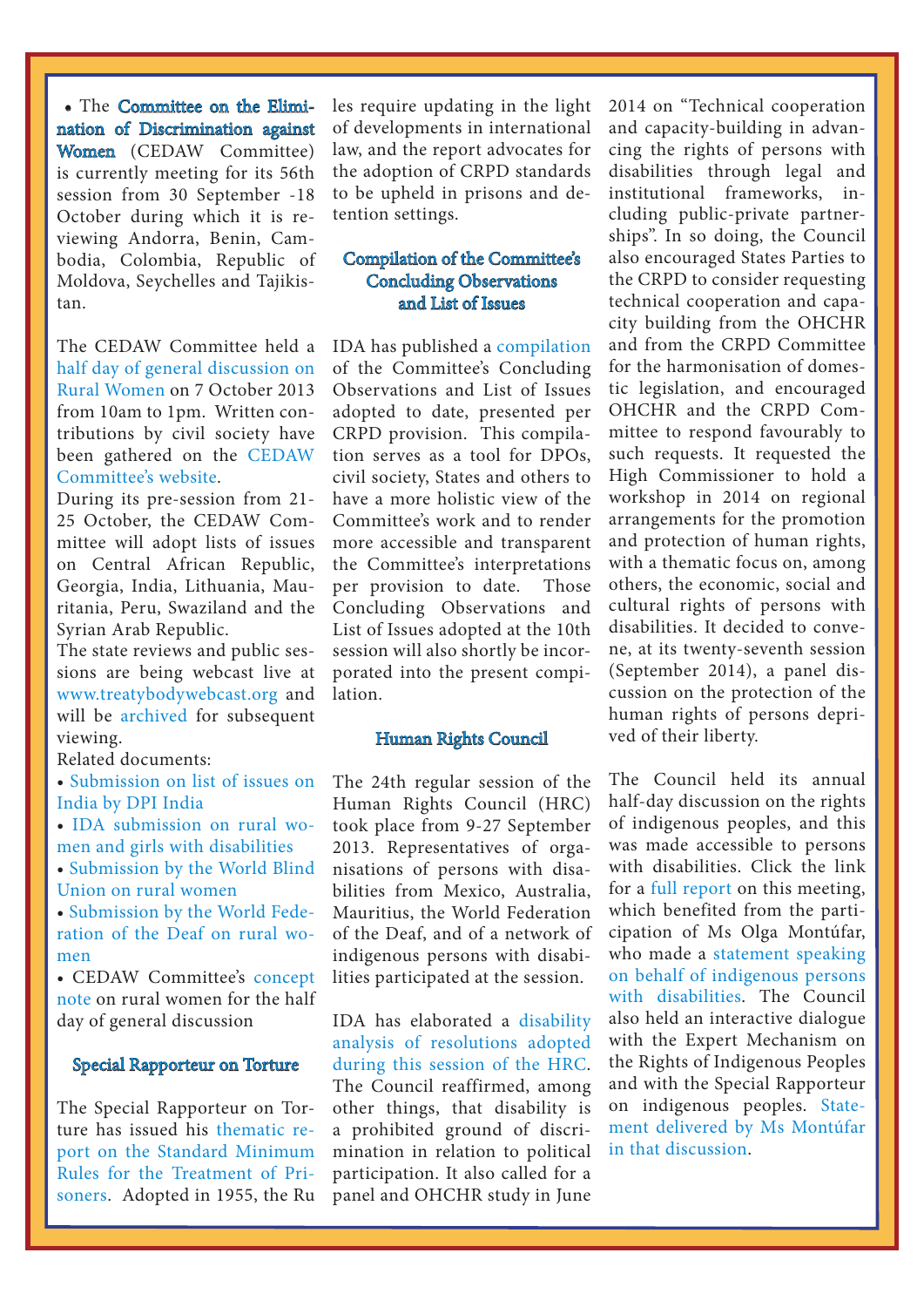• The [Committee on the Elimi](http://www.internationaldisabilityalliance.org/en/committee-on-the-elimination-of-discripmination)[nation of Discrimination against](http://www.internationaldisabilityalliance.org/en/committee-on-the-elimination-of-discripmination)  [Women](http://www.internationaldisabilityalliance.org/en/committee-on-the-elimination-of-discripmination) (CEDAW Committee) is currently meeting for its 56th session from 30 September -18 October during which it is reviewing Andorra, Benin, Cambodia, Colombia, Republic of Moldova, Seychelles and Tajikistan.

The CEDAW Committee held a [half day of general discussion on](http://www.ohchr.org/EN/HRBodies/CEDAW/Pages/RuralWomen.aspx)  [Rural Women](http://www.ohchr.org/EN/HRBodies/CEDAW/Pages/RuralWomen.aspx) on 7 October 2013 from 10am to 1pm. Written contributions by civil society have been gathered on the [CEDAW](http://www.ohchr.org/EN/HRBodies/CEDAW/Pages/ContributionsRuralWomen.aspx)  [Committee's website.](http://www.ohchr.org/EN/HRBodies/CEDAW/Pages/ContributionsRuralWomen.aspx)

During its pre-session from 21- 25 October, the CEDAW Committee will adopt lists of issues on Central African Republic, Georgia, India, Lithuania, Mauritania, Peru, Swaziland and the Syrian Arab Republic.

The state reviews and public sessions are being webcast live at [www.treatybodywebcast.org](http://www.treatybodywebcast.org/) and will be [archived](http://www.treatybodywebcast.org/category/webcast-archives/cedaw-webcast-archives/) for subsequent viewing.

Related documents:

- [Submission on list of issues on](http://www.internationaldisabilityalliance.org/sites/disalliance.e-presentaciones.net/files/public/files/DPI India_CEDAW Report.doc)  [India by DPI India](http://www.internationaldisabilityalliance.org/sites/disalliance.e-presentaciones.net/files/public/files/DPI India_CEDAW Report.doc)
- [IDA submission on rural wo](http://www.internationaldisabilityalliance.org/sites/disalliance.e-presentaciones.net/files/public/files/IDA submission on rural women and girls with disabilities.CEDAW half DGD.56th session.final.docx)[men and girls with disabilities](http://www.internationaldisabilityalliance.org/sites/disalliance.e-presentaciones.net/files/public/files/IDA submission on rural women and girls with disabilities.CEDAW half DGD.56th session.final.docx)
- [Submission by the World Blind](http://www.internationaldisabilityalliance.org/sites/disalliance.e-presentaciones.net/files/public/files/General recommendation-CEDAW-Rural women-WBU submission.docx)  [Union on rural women](http://www.internationaldisabilityalliance.org/sites/disalliance.e-presentaciones.net/files/public/files/General recommendation-CEDAW-Rural women-WBU submission.docx)

• [Submission by the World Fede](http://www.internationaldisabilityalliance.org/sites/disalliance.e-presentaciones.net/files/public/files/WFD submission rural women.pdf)[ration of the Deaf on rural wo](http://www.internationaldisabilityalliance.org/sites/disalliance.e-presentaciones.net/files/public/files/WFD submission rural women.pdf)[men](http://www.internationaldisabilityalliance.org/sites/disalliance.e-presentaciones.net/files/public/files/WFD submission rural women.pdf)

• CEDAW Committee's [concept](http://www.ohchr.org/Documents/HRBodies/CEDAW/RuralWomen/ConceptNote_GR_Article14.pdf)  [note](http://www.ohchr.org/Documents/HRBodies/CEDAW/RuralWomen/ConceptNote_GR_Article14.pdf) on rural women for the half day of general discussion

#### [Special Rapporteur on Torture](http://antitorture.org/)

The Special Rapporteur on Torture has issued his [thematic re](http://www.internationaldisabilityalliance.org/sites/disalliance.e-presentaciones.net/files/public/files/SMR_Report_August_2013.pdf)[port on the Standard Minimum](http://www.internationaldisabilityalliance.org/sites/disalliance.e-presentaciones.net/files/public/files/SMR_Report_August_2013.pdf)  [Rules for the Treatment of Pri](http://www.internationaldisabilityalliance.org/sites/disalliance.e-presentaciones.net/files/public/files/SMR_Report_August_2013.pdf)[soners](http://www.internationaldisabilityalliance.org/sites/disalliance.e-presentaciones.net/files/public/files/SMR_Report_August_2013.pdf). Adopted in 1955, the Ru

 $\overline{a}$ 

les require updating in the light of developments in international law, and the report advocates for the adoption of CRPD standards to be upheld in prisons and detention settings.

# [Compilation of the Committee's](http://www.internationaldisabilityalliance.org/en/compilations-made-ida)  [Concluding Observations](http://www.internationaldisabilityalliance.org/en/compilations-made-ida)  [and List of Issues](http://www.internationaldisabilityalliance.org/en/compilations-made-ida)

IDA has published a [compilation](http://www.internationaldisabilityalliance.org/en/compilations-made-ida)  of the Committee's Concluding Observations and List of Issues adopted to date, presented per CRPD provision. This compilation serves as a tool for DPOs, civil society, States and others to have a more holistic view of the Committee's work and to render more accessible and transparent the Committee's interpretations per provision to date. Those Concluding Observations and List of Issues adopted at the 10th session will also shortly be incorporated into the present compilation.

#### [Human Rights Council](http://www.internationaldisabilityalliance.org/en/hrc-regular-session)

The 24th regular session of the Human Rights Council (HRC) took place from 9-27 September 2013. Representatives of organisations of persons with disabilities from Mexico, Australia, Mauritius, the World Federation of the Deaf, and of a network of indigenous persons with disabilities participated at the session.

IDA has elaborated a [disability](http://www.internationaldisabilityalliance.org/sites/disalliance.e-presentaciones.net/files/public/files/Disability analysis of HRC24 resolutions 30 Sept 2013.doc)  [analysis of resolutions adopted](http://www.internationaldisabilityalliance.org/sites/disalliance.e-presentaciones.net/files/public/files/Disability analysis of HRC24 resolutions 30 Sept 2013.doc)  [during this session of the HRC](http://www.internationaldisabilityalliance.org/sites/disalliance.e-presentaciones.net/files/public/files/Disability analysis of HRC24 resolutions 30 Sept 2013.doc). The Council reaffirmed, among other things, that disability is a prohibited ground of discrimination in relation to political participation. It also called for a panel and OHCHR study in June

 $\overline{a}$ 

2014 on "Technical cooperation and capacity-building in advancing the rights of persons with disabilities through legal and institutional frameworks, including public-private partnerships". In so doing, the Council also encouraged States Parties to the CRPD to consider requesting technical cooperation and capacity building from the OHCHR and from the CRPD Committee for the harmonisation of domestic legislation, and encouraged OHCHR and the CRPD Committee to respond favourably to such requests. It requested the High Commissioner to hold a workshop in 2014 on regional arrangements for the promotion and protection of human rights, with a thematic focus on, among others, the economic, social and cultural rights of persons with disabilities. It decided to convene, at its twenty-seventh session (September 2014), a panel discussion on the protection of the human rights of persons deprived of their liberty.

The Council held its annual half-day discussion on the rights of indigenous peoples, and this was made accessible to persons with disabilities. Click the link for a [full report](http://www.internationaldisabilityalliance.org/sites/disalliance.e-presentaciones.net/files/public/files/Half-day panel discussion 17 Sept 2013 on the World Conference on Indigenous Peoples.doc) on this meeting, which benefited from the participation of Ms Olga Montúfar, who made a [statement speaking](http://www.internationaldisabilityalliance.org/sites/disalliance.e-presentaciones.net/files/public/files/EDF statement at the half-day discussion on Indigenous peoples.doc)  [on behalf of indigenous persons](http://www.internationaldisabilityalliance.org/sites/disalliance.e-presentaciones.net/files/public/files/EDF statement at the half-day discussion on Indigenous peoples.doc)  [with disabilities.](http://www.internationaldisabilityalliance.org/sites/disalliance.e-presentaciones.net/files/public/files/EDF statement at the half-day discussion on Indigenous peoples.doc) The Council also held an interactive dialogue with the Expert Mechanism on the Rights of Indigenous Peoples and with the Special Rapporteur on indigenous peoples. [State](http://www.internationaldisabilityalliance.org/sites/disalliance.e-presentaciones.net/files/public/files/EDF statement at the HRC ID with EMRIP and SR 18 Sept 2013.doc)[ment delivered by Ms Montúfar](http://www.internationaldisabilityalliance.org/sites/disalliance.e-presentaciones.net/files/public/files/EDF statement at the HRC ID with EMRIP and SR 18 Sept 2013.doc)  [in that discussion.](http://www.internationaldisabilityalliance.org/sites/disalliance.e-presentaciones.net/files/public/files/EDF statement at the HRC ID with EMRIP and SR 18 Sept 2013.doc)